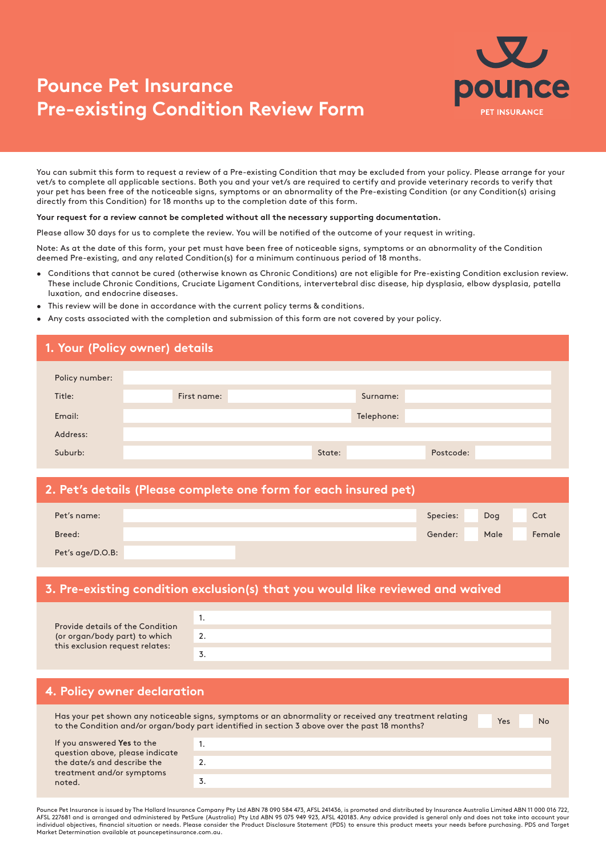# **Pounce Pet Insurance Pre-existing Condition Review Form**



You can submit this form to request a review of a Pre-existing Condition that may be excluded from your policy. Please arrange for your vet/s to complete all applicable sections. Both you and your vet/s are required to certify and provide veterinary records to verify that your pet has been free of the noticeable signs, symptoms or an abnormality of the Pre-existing Condition (or any Condition(s) arising directly from this Condition) for 18 months up to the completion date of this form.

#### **Your request for a review cannot be completed without all the necessary supporting documentation.**

Please allow 30 days for us to complete the review. You will be notified of the outcome of your request in writing.

Note: As at the date of this form, your pet must have been free of noticeable signs, symptoms or an abnormality of the Condition deemed Pre-existing, and any related Condition(s) for a minimum continuous period of 18 months.

- Conditions that cannot be cured (otherwise known as Chronic Conditions) are not eligible for Pre-existing Condition exclusion review. These include Chronic Conditions, Cruciate Ligament Conditions, intervertebral disc disease, hip dysplasia, elbow dysplasia, patella luxation, and endocrine diseases.
- This review will be done in accordance with the current policy terms & conditions.
- Any costs associated with the completion and submission of this form are not covered by your policy.

|                | 1. Your (Policy owner) details |            |           |
|----------------|--------------------------------|------------|-----------|
| Policy number: |                                |            |           |
| Title:         | First name:                    | Surname:   |           |
| Email:         |                                | Telephone: |           |
| Address:       |                                |            |           |
| Suburb:        |                                | State:     | Postcode: |

#### **2. Pet's details (Please complete one form for each insured pet)**

| Pet's name:      |  | Species: | Dog  | Cat    |
|------------------|--|----------|------|--------|
| Breed:           |  | Gender:  | Male | Female |
| Pet's age/D.O.B: |  |          |      |        |

#### **3. Pre-existing condition exclusion(s) that you would like reviewed and waived**

|                                                                  | . . |
|------------------------------------------------------------------|-----|
| Provide details of the Condition                                 |     |
| (or organ/body part) to which<br>this exclusion request relates: | 2.  |
|                                                                  |     |
|                                                                  |     |

### **4. Policy owner declaration**

Yes No Has your pet shown any noticeable signs, symptoms or an abnormality or received any treatment relating to the Condition and/or organ/body part identified in section 3 above over the past 18 months? If you answered **Yes** to the 1.

| question above, please indicate | . |
|---------------------------------|---|
| the date/s and describe the     |   |
| treatment and/or symptoms       |   |
| noted.                          |   |
|                                 |   |

Pounce Pet Insurance is issued by The Hollard Insurance Company Pty Ltd ABN 78 090 584 473, AFSL 241436, is promoted and distributed by Insurance Australia Limited ABN 11 000 016 722,<br>AFSL 227681 and is arranged and admini individual objectives, financial situation or needs. Please consider the Product Disclosure Statement (PDS) to ensure this product meets your needs before purchasing. PDS and Target Market Determination available at pouncepetinsurance.com.au.